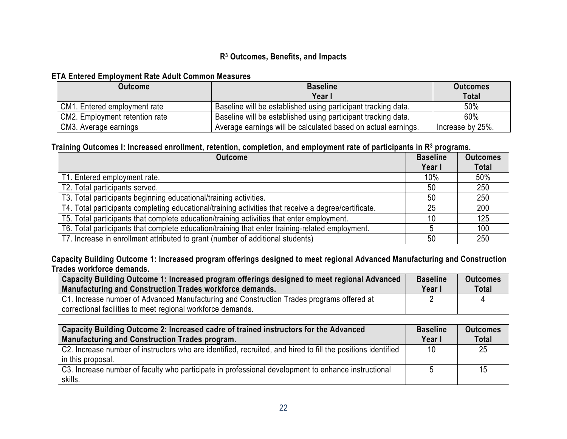## **R3 Outcomes, Benefits, and Impacts**

## **ETA Entered Employment Rate Adult Common Measures**

| Outcome                        | <b>Baseline</b>                                               | <b>Outcomes</b>  |  |
|--------------------------------|---------------------------------------------------------------|------------------|--|
|                                | Year I                                                        | <b>Total</b>     |  |
| CM1. Entered employment rate   | Baseline will be established using participant tracking data. | 50%              |  |
| CM2. Employment retention rate | Baseline will be established using participant tracking data. | 60%              |  |
| CM3. Average earnings          | Average earnings will be calculated based on actual earnings. | Increase by 25%. |  |

## **Training Outcomes l: Increased enrollment, retention, completion, and employment rate of participants in R3 programs.**

| <b>Outcome</b>                                                                                       |        | <b>Outcomes</b> |
|------------------------------------------------------------------------------------------------------|--------|-----------------|
|                                                                                                      | Year I | <b>Total</b>    |
| T1. Entered employment rate.                                                                         | $10\%$ | 50%             |
| T2. Total participants served.                                                                       | 50     | 250             |
| T3. Total participants beginning educational/training activities.                                    | 50     | 250             |
| T4. Total participants completing educational/training activities that receive a degree/certificate. | 25     | 200             |
| T5. Total participants that complete education/training activities that enter employment.            | 10     | 125             |
| T6. Total participants that complete education/training that enter training-related employment.      |        | 100             |
| T7. Increase in enrollment attributed to grant (number of additional students)                       | 50     | 250             |

**Capacity Building Outcome 1: Increased program offerings designed to meet regional Advanced Manufacturing and Construction Trades workforce demands.**

| Capacity Building Outcome 1: Increased program offerings designed to meet regional Advanced |  | <b>Outcomes</b> |
|---------------------------------------------------------------------------------------------|--|-----------------|
| Manufacturing and Construction Trades workforce demands.                                    |  | Total           |
| C1. Increase number of Advanced Manufacturing and Construction Trades programs offered at   |  |                 |
| correctional facilities to meet regional workforce demands.                                 |  |                 |

| Capacity Building Outcome 2: Increased cadre of trained instructors for the Advanced                         |        | <b>Outcomes</b> |
|--------------------------------------------------------------------------------------------------------------|--------|-----------------|
| <b>Manufacturing and Construction Trades program.</b>                                                        | Year I | <b>Total</b>    |
| C2. Increase number of instructors who are identified, recruited, and hired to fill the positions identified | 10     | 25              |
| in this proposal.                                                                                            |        |                 |
| C3. Increase number of faculty who participate in professional development to enhance instructional          |        | 15              |
| skills.                                                                                                      |        |                 |